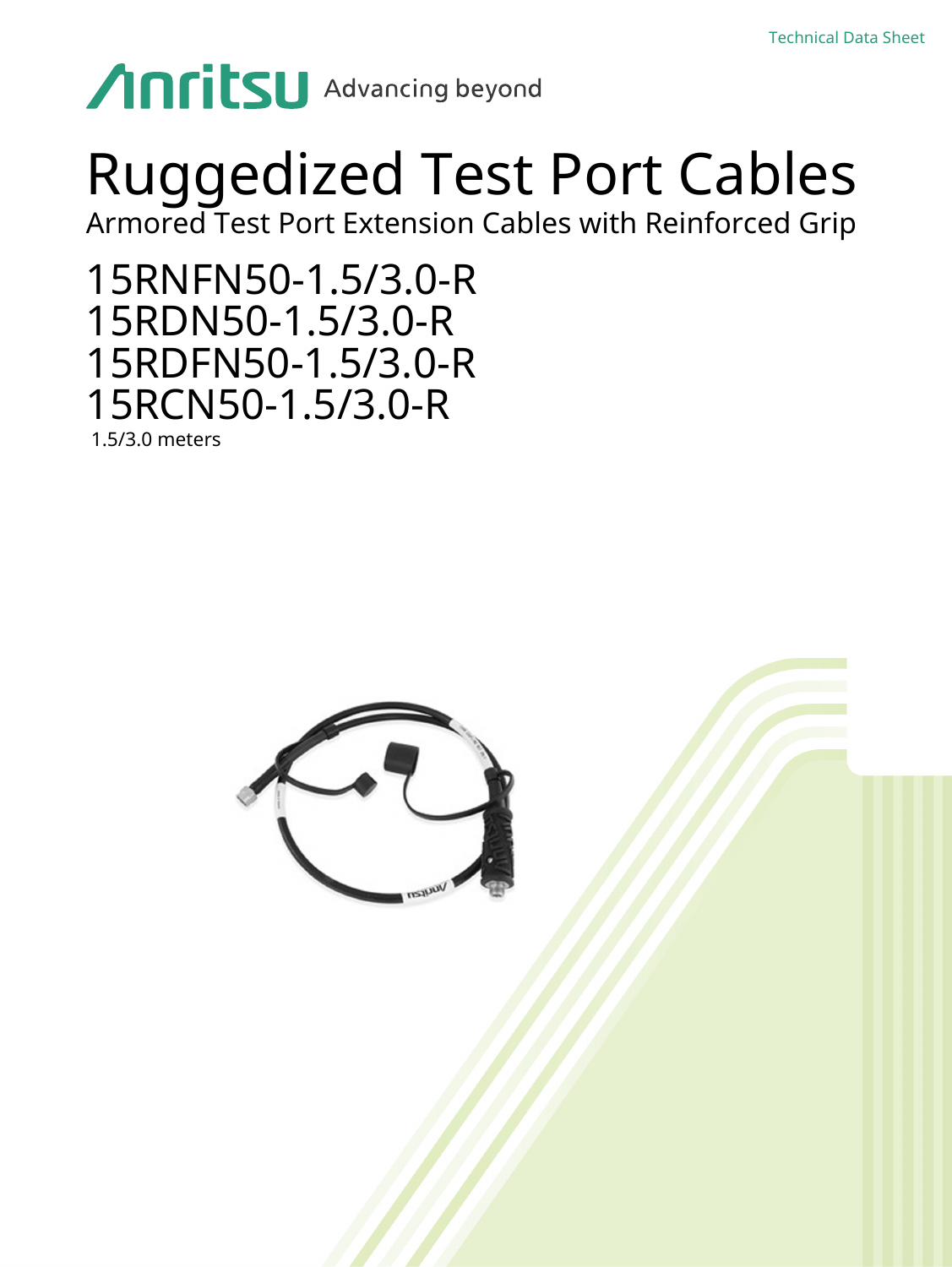# **Anritsu** Advancing beyond

## Ruggedized Test Port Cables

Armored Test Port Extension Cables with Reinforced Grip

15RNFN50-1.5/3.0-R 15RDN50-1.5/3.0-R 15RDFN50-1.5/3.0-R 15RCN50-1.5/3.0-R

1.5/3.0 meters

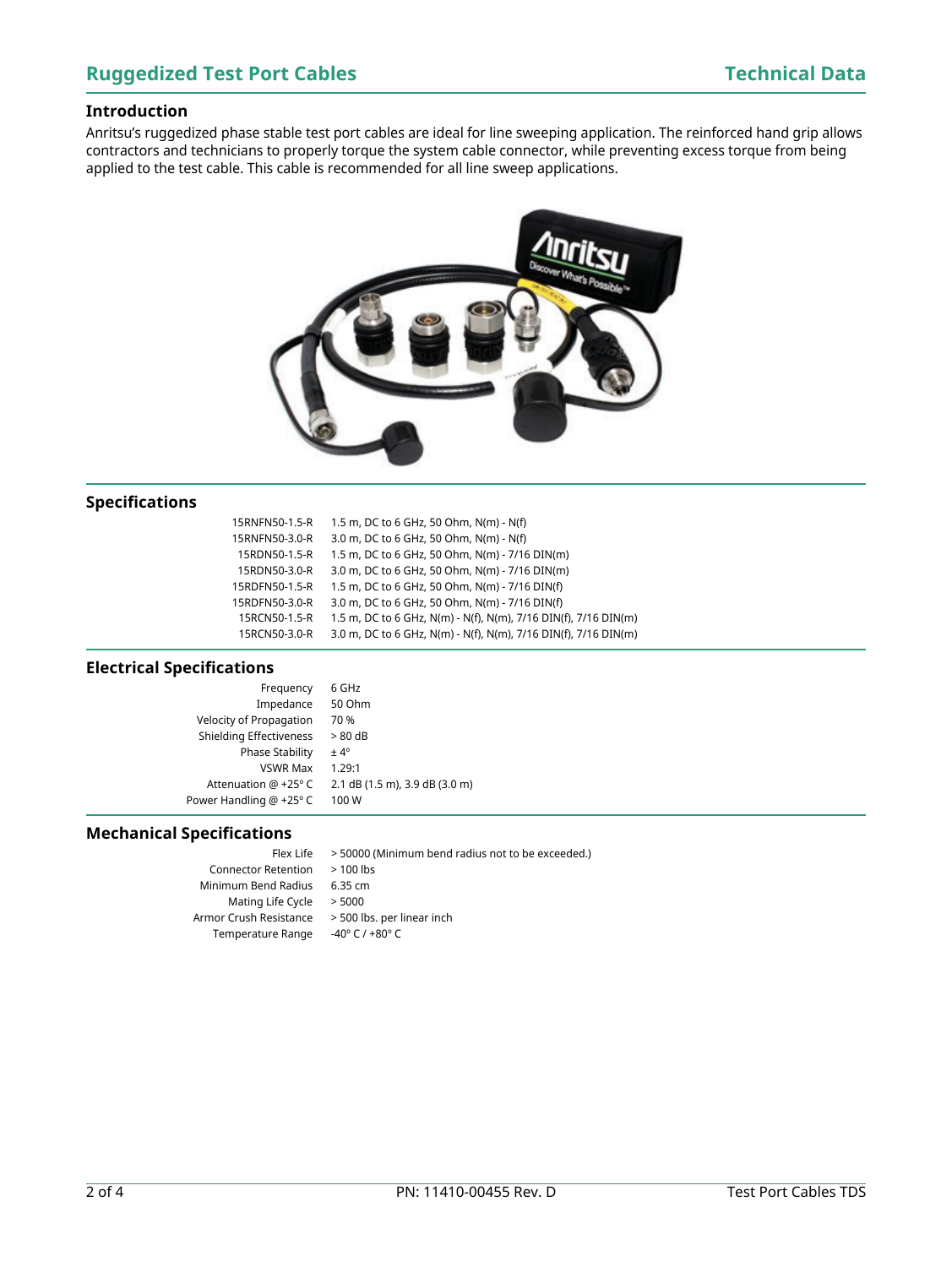### **Introduction**

Anritsu's ruggedized phase stable test port cables are ideal for line sweeping application. The reinforced hand grip allows contractors and technicians to properly torque the system cable connector, while preventing excess torque from being applied to the test cable. This cable is recommended for all line sweep applications.



### **Specifications**

| 15RNFN50-1.5-R | 1.5 m, DC to 6 GHz, 50 Ohm, N(m) - N(f)                         |
|----------------|-----------------------------------------------------------------|
| 15RNFN50-3.0-R | 3.0 m, DC to 6 GHz, 50 Ohm, N(m) - N(f)                         |
| 15RDN50-1.5-R  | 1.5 m, DC to 6 GHz, 50 Ohm, N(m) - 7/16 DIN(m)                  |
| 15RDN50-3.0-R  | 3.0 m, DC to 6 GHz, 50 Ohm, N(m) - 7/16 DIN(m)                  |
| 15RDFN50-1.5-R | 1.5 m, DC to 6 GHz, 50 Ohm, N(m) - 7/16 DIN(f)                  |
| 15RDFN50-3.0-R | 3.0 m, DC to 6 GHz, 50 Ohm, N(m) - 7/16 DIN(f)                  |
| 15RCN50-1.5-R  | 1.5 m, DC to 6 GHz, N(m) - N(f), N(m), 7/16 DIN(f), 7/16 DIN(m) |
| 15RCN50-3.0-R  | 3.0 m, DC to 6 GHz, N(m) - N(f), N(m), 7/16 DIN(f), 7/16 DIN(m) |

#### **Electrical Specifications**

| 2.1 dB (1.5 m), 3.9 dB (3.0 m) |
|--------------------------------|
|                                |
|                                |

### **Mechanical Specifications**

| Flex Life                  | > 50000           |
|----------------------------|-------------------|
| <b>Connector Retention</b> | $>100$ lb         |
| Minimum Bend Radius        | 6.35 cm           |
| Mating Life Cycle          | > 5000            |
| Armor Crush Resistance     | > 500 lb          |
| <b>Temperature Range</b>   | -40 $\degree$ C / |
|                            |                   |

0000 (Minimum bend radius not to be exceeded.) O lbs

00 lbs. per linear inch C  $/ +80°$  C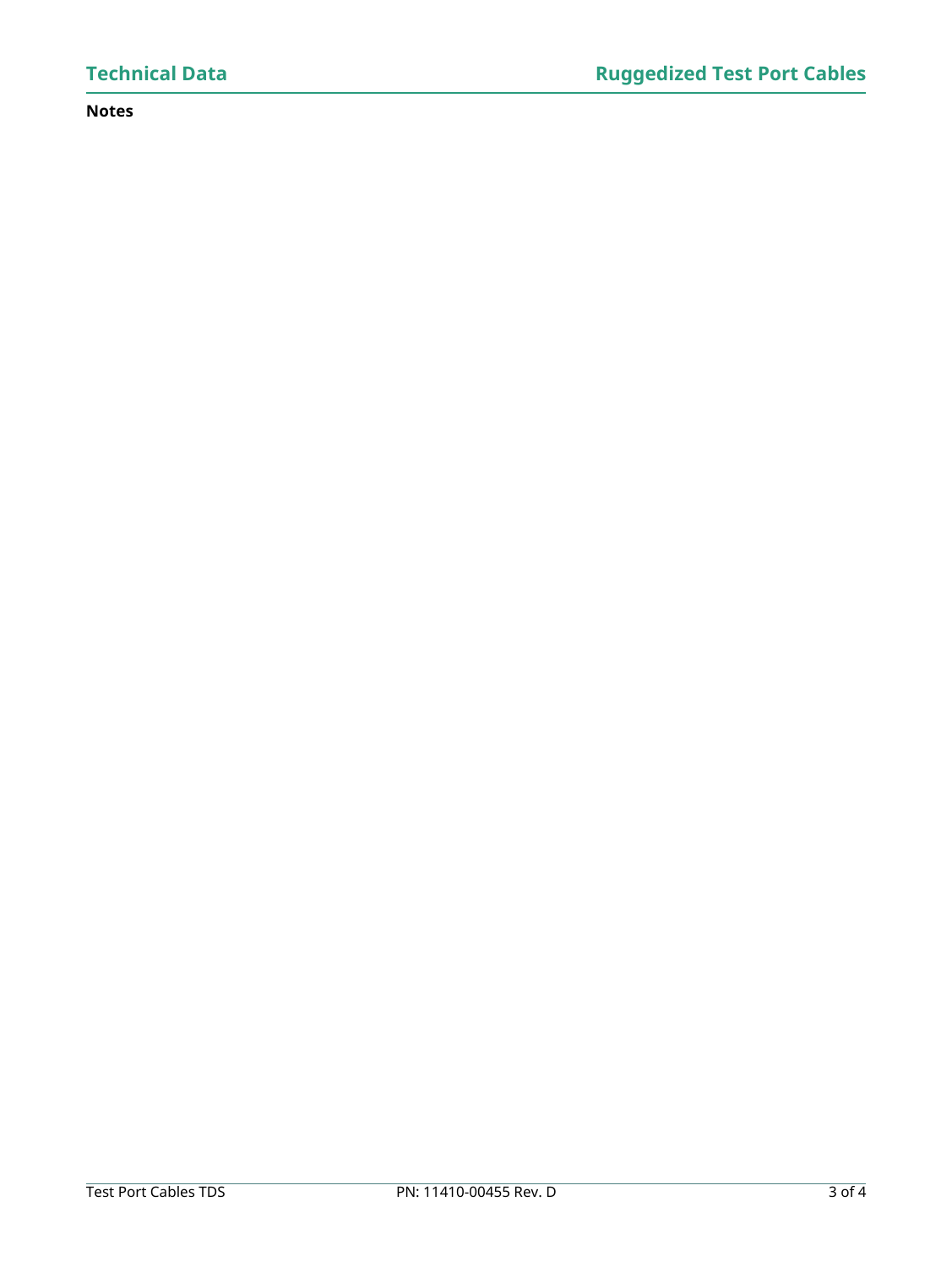### **Notes**